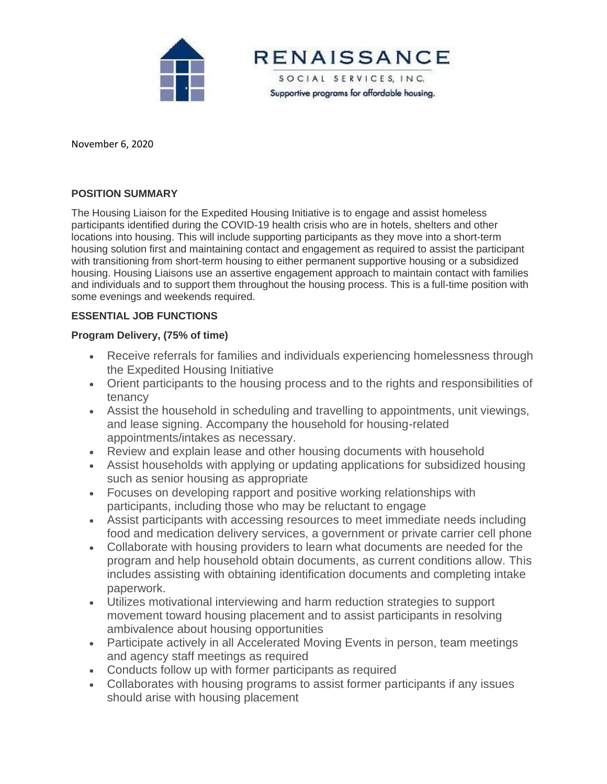



November 6, 2020

### **POSITION SUMMARY**

The Housing Liaison for the Expedited Housing Initiative is to engage and assist homeless participants identified during the COVID-19 health crisis who are in hotels, shelters and other locations into housing. This will include supporting participants as they move into a short-term housing solution first and maintaining contact and engagement as required to assist the participant with transitioning from short-term housing to either permanent supportive housing or a subsidized housing. Housing Liaisons use an assertive engagement approach to maintain contact with families and individuals and to support them throughout the housing process. This is a full-time position with some evenings and weekends required.

### **ESSENTIAL JOB FUNCTIONS**

### **Program Delivery, (75% of time)**

- Receive referrals for families and individuals experiencing homelessness through the Expedited Housing Initiative
- Orient participants to the housing process and to the rights and responsibilities of tenancy
- Assist the household in scheduling and travelling to appointments, unit viewings, and lease signing. Accompany the household for housing-related appointments/intakes as necessary.
- Review and explain lease and other housing documents with household
- Assist households with applying or updating applications for subsidized housing such as senior housing as appropriate
- Focuses on developing rapport and positive working relationships with participants, including those who may be reluctant to engage
- Assist participants with accessing resources to meet immediate needs including food and medication delivery services, a government or private carrier cell phone
- Collaborate with housing providers to learn what documents are needed for the program and help household obtain documents, as current conditions allow. This includes assisting with obtaining identification documents and completing intake paperwork.
- Utilizes motivational interviewing and harm reduction strategies to support movement toward housing placement and to assist participants in resolving ambivalence about housing opportunities
- Participate actively in all Accelerated Moving Events in person, team meetings and agency staff meetings as required
- Conducts follow up with former participants as required
- Collaborates with housing programs to assist former participants if any issues should arise with housing placement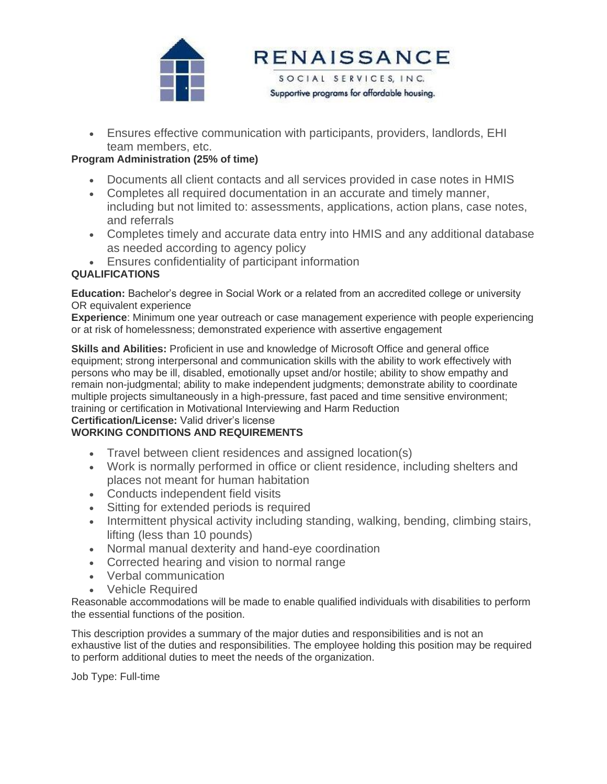



• Ensures effective communication with participants, providers, landlords, EHI team members, etc.

# **Program Administration (25% of time)**

- Documents all client contacts and all services provided in case notes in HMIS
- Completes all required documentation in an accurate and timely manner, including but not limited to: assessments, applications, action plans, case notes, and referrals
- Completes timely and accurate data entry into HMIS and any additional database as needed according to agency policy
- Ensures confidentiality of participant information

# **QUALIFICATIONS**

**Education:** Bachelor's degree in Social Work or a related from an accredited college or university OR equivalent experience

**Experience**: Minimum one year outreach or case management experience with people experiencing or at risk of homelessness; demonstrated experience with assertive engagement

**Skills and Abilities:** Proficient in use and knowledge of Microsoft Office and general office equipment; strong interpersonal and communication skills with the ability to work effectively with persons who may be ill, disabled, emotionally upset and/or hostile; ability to show empathy and remain non-judgmental; ability to make independent judgments; demonstrate ability to coordinate multiple projects simultaneously in a high-pressure, fast paced and time sensitive environment; training or certification in Motivational Interviewing and Harm Reduction

### **Certification/License:** Valid driver's license

# **WORKING CONDITIONS AND REQUIREMENTS**

- Travel between client residences and assigned location(s)
- Work is normally performed in office or client residence, including shelters and places not meant for human habitation
- Conducts independent field visits
- Sitting for extended periods is required
- Intermittent physical activity including standing, walking, bending, climbing stairs, lifting (less than 10 pounds)
- Normal manual dexterity and hand-eye coordination
- Corrected hearing and vision to normal range
- Verbal communication
- Vehicle Required

Reasonable accommodations will be made to enable qualified individuals with disabilities to perform the essential functions of the position.

This description provides a summary of the major duties and responsibilities and is not an exhaustive list of the duties and responsibilities. The employee holding this position may be required to perform additional duties to meet the needs of the organization.

Job Type: Full-time